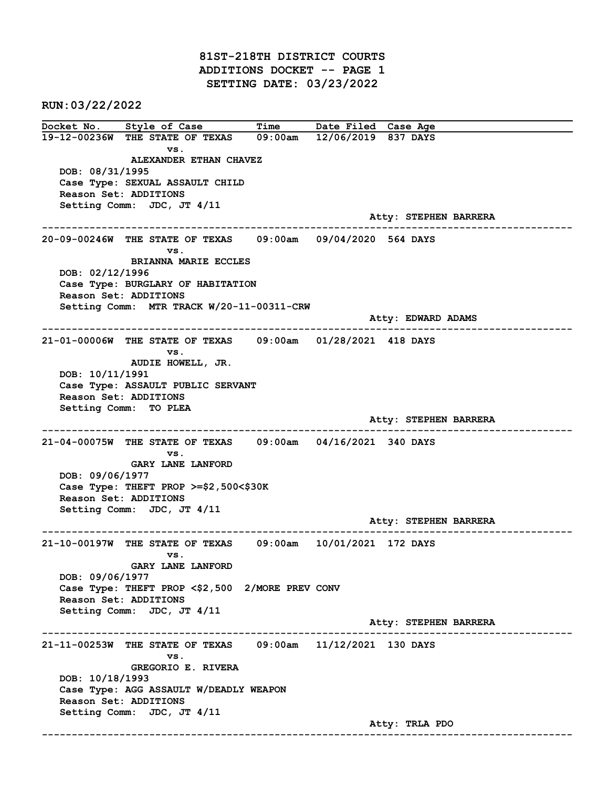81ST-218TH DISTRICT COURTS ADDITIONS DOCKET -- PAGE 1 SETTING DATE: 03/23/2022

RUN:03/22/2022

Docket No. Style of Case Time Date Filed Case Age 19-12-00236W THE STATE OF TEXAS 09:00am 12/06/2019 837 DAYS vs. ALEXANDER ETHAN CHAVEZ DOB: 08/31/1995 Case Type: SEXUAL ASSAULT CHILD Reason Set: ADDITIONS Setting Comm: JDC, JT 4/11 Atty: STEPHEN BARRERA ------------------------------------------------------------------------------------------------------------------------ 20-09-00246W THE STATE OF TEXAS 09:00am 09/04/2020 564 DAYS vs. BRIANNA MARIE ECCLES DOB: 02/12/1996 Case Type: BURGLARY OF HABITATION Reason Set: ADDITIONS Setting Comm: MTR TRACK W/20-11-00311-CRW Atty: EDWARD ADAMS ------------------------------------------------------------------------------------------------------------------------ 21-01-00006W THE STATE OF TEXAS 09:00am 01/28/2021 418 DAYS vs. AUDIE HOWELL, JR. DOB: 10/11/1991 Case Type: ASSAULT PUBLIC SERVANT Reason Set: ADDITIONS Setting Comm: TO PLEA Atty: STEPHEN BARRERA ------------------------------------------------------------------------------------------------------------------------ 21-04-00075W THE STATE OF TEXAS 09:00am 04/16/2021 340 DAYS vs. GARY LANE LANFORD DOB: 09/06/1977 Case Type: THEFT PROP >=\$2,500<\$30K Reason Set: ADDITIONS Setting Comm: JDC, JT 4/11 Atty: STEPHEN BARRERA ------------------------------------------------------------------------------------------------------------------------ 21-10-00197W THE STATE OF TEXAS 09:00am 10/01/2021 172 DAYS vs. GARY LANE LANFORD DOB: 09/06/1977 Case Type: THEFT PROP <\$2,500 2/MORE PREV CONV Reason Set: ADDITIONS Setting Comm: JDC, JT 4/11 Atty: STEPHEN BARRERA ------------------------------------------------------------------------------------------------------------------------ 21-11-00253W THE STATE OF TEXAS 09:00am 11/12/2021 130 DAYS vs. GREGORIO E. RIVERA DOB: 10/18/1993 Case Type: AGG ASSAULT W/DEADLY WEAPON Reason Set: ADDITIONS Setting Comm: JDC, JT 4/11 Atty: TRLA PDO ------------------------------------------------------------------------------------------------------------------------